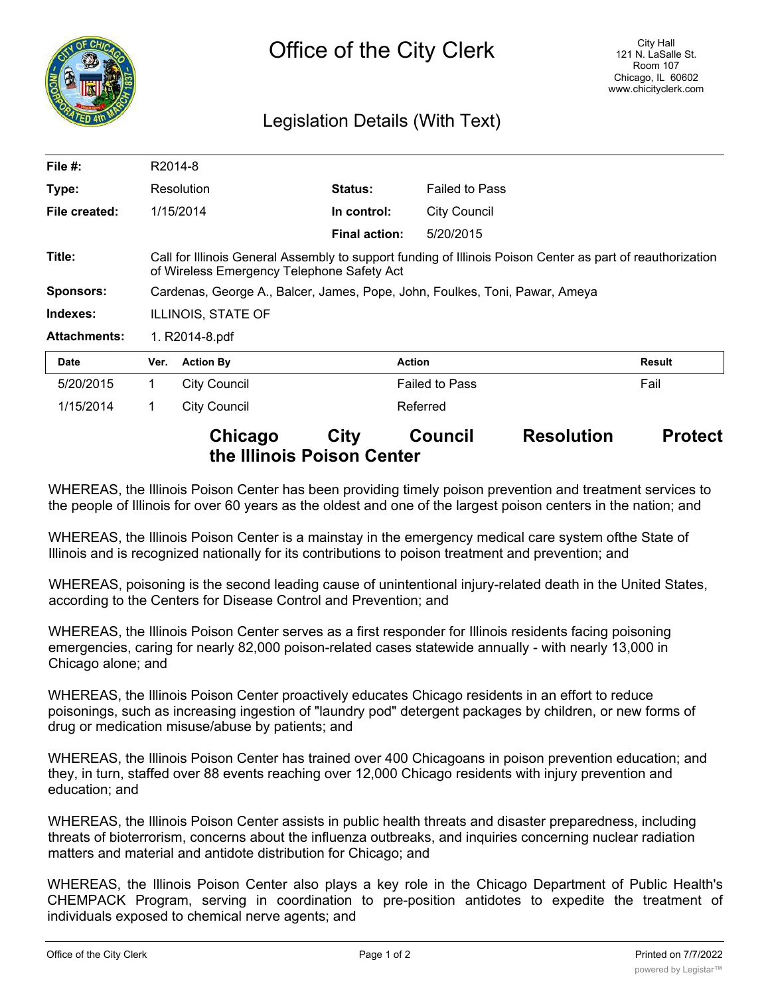

## Legislation Details (With Text)

| File $#$ :          | R2014-8                                                                                                                                                  |                     |                      |                       |        |
|---------------------|----------------------------------------------------------------------------------------------------------------------------------------------------------|---------------------|----------------------|-----------------------|--------|
| Type:               | Resolution                                                                                                                                               |                     | <b>Status:</b>       | <b>Failed to Pass</b> |        |
| File created:       |                                                                                                                                                          | 1/15/2014           | In control:          | <b>City Council</b>   |        |
|                     |                                                                                                                                                          |                     | <b>Final action:</b> | 5/20/2015             |        |
| Title:              | Call for Illinois General Assembly to support funding of Illinois Poison Center as part of reauthorization<br>of Wireless Emergency Telephone Safety Act |                     |                      |                       |        |
| <b>Sponsors:</b>    | Cardenas, George A., Balcer, James, Pope, John, Foulkes, Toni, Pawar, Ameya                                                                              |                     |                      |                       |        |
| Indexes:            | <b>ILLINOIS, STATE OF</b>                                                                                                                                |                     |                      |                       |        |
| <b>Attachments:</b> | 1. R2014-8.pdf                                                                                                                                           |                     |                      |                       |        |
| <b>Date</b>         | Ver.                                                                                                                                                     | <b>Action By</b>    |                      | <b>Action</b>         | Result |
| 5/20/2015           | 1                                                                                                                                                        | <b>City Council</b> |                      | <b>Failed to Pass</b> | Fail   |
| 1/15/2014           | 1                                                                                                                                                        | City Council        |                      | Referred              |        |

## **Chicago City Council Resolution Protect the Illinois Poison Center**

WHEREAS, the Illinois Poison Center has been providing timely poison prevention and treatment services to the people of Illinois for over 60 years as the oldest and one of the largest poison centers in the nation; and

WHEREAS, the Illinois Poison Center is a mainstay in the emergency medical care system ofthe State of Illinois and is recognized nationally for its contributions to poison treatment and prevention; and

WHEREAS, poisoning is the second leading cause of unintentional injury-related death in the United States, according to the Centers for Disease Control and Prevention; and

WHEREAS, the Illinois Poison Center serves as a first responder for Illinois residents facing poisoning emergencies, caring for nearly 82,000 poison-related cases statewide annually - with nearly 13,000 in Chicago alone; and

WHEREAS, the Illinois Poison Center proactively educates Chicago residents in an effort to reduce poisonings, such as increasing ingestion of "laundry pod" detergent packages by children, or new forms of drug or medication misuse/abuse by patients; and

WHEREAS, the Illinois Poison Center has trained over 400 Chicagoans in poison prevention education; and they, in turn, staffed over 88 events reaching over 12,000 Chicago residents with injury prevention and education; and

WHEREAS, the Illinois Poison Center assists in public health threats and disaster preparedness, including threats of bioterrorism, concerns about the influenza outbreaks, and inquiries concerning nuclear radiation matters and material and antidote distribution for Chicago; and

WHEREAS, the Illinois Poison Center also plays a key role in the Chicago Department of Public Health's CHEMPACK Program, serving in coordination to pre-position antidotes to expedite the treatment of individuals exposed to chemical nerve agents; and